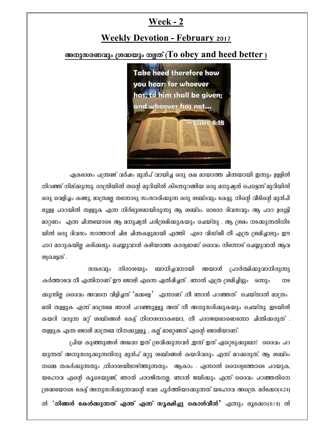## **Week - 2**

## **Weekly Devotion - February 2017**

## അനുസരണവും ശ്രദ്ധയും നല്ലത് (To obey and heed better)



ഏകദേശം പന്ത്രണ്ട് വർഷം മുൻപ് വായിച്ച ഒരു കഥ മായാത്ത ചിന്തയായി ഇന്നും ഉള്ളിൽ നിറഞ്ഞ് നില്ക്കുന്നു. രാത്രിയിൽ തന്റെ മുറിയിൽ കിടന്നുറങ്ങിയ ഒരു മനുഷ്യൻ പെട്ടെന്ന് മുറിയിൽ ഒരു വെളിച്ചം കണ്ടു, മാത്രമല്ല തന്നോടു സംസാരിക്കുന്ന ഒരു ശബ്ദവും കേട്ടു. നിന്റെ വീടിന്റെ മുൻപി ലുളള പാറയിൽ തള്ളുക എന്ന നിർദ്ദേശമായിരുന്നു ആ ശബ്ദം. ഓരോ ദിവസവും ആ പാറ ഉരുട്ടി മാറ്റണം എന്ന ചിന്തയോടെ ആ മനുഷ്യൻ പരിശ്രമിക്കുകയും ചെയ്തു . ആ ശ്രമം നടക്കുന്നതിനിട യിൽ ഒരു ദിവസം സാത്താൻ ചില ചിന്തകളുമായി എത്തി എടാ വിഡ്ഢീ നീ എത്ര ശ്രമിച്ചാലും ഈ പാറ മാറുകയില്ല .ഒരിക്കലും ചെയ്യുവാൻ കഴിയാത്ത കാര്യമാണ് ദൈവം നിന്നോട് ചെയ്യുവാൻ ആവ ശ്യഷെട്ടത് .

നിരാശയും ബാധിച്ചവനായി അയാൾ പ്രാർത്ഥിക്കുവാനിരുന്നു സങ്കടവും .കർത്താവേ നീ എന്തിനാണ് ഈ ജോലി എന്നെ ഏൽഷിച്ചത് . ഞാൻ എത്ര ശ്രമിച്ചിട്ടും ഒന്നും **ms** ക്കുന്നില്ല .ദൈവം അവനെ വിളിച്ചത് 'മക്കളേ' എന്നാണ് .നീ ഞാൻ പറഞ്ഞത് ചെയ്താൽ മാത്രം മതി തള്ളുക എന്ന് മാത്രമേ ഞാൻ പറഞ്ഞുള്ളൂ അത് നീ അനുസരിക്കുകയും ചെയ്തു .ഇടയിൽ കയറി വരുന്ന മറ്റ് ശബ്ദങ്ങൾ കേട്ട് നിരാശനാകയോ, നീ പരാജയമാണെന്നോ ചിന്തിക്കരുത് . തള്ളുക എന്ന ജോലി മാത്രമേ നിനക്കുള്ളൂ , കല്ല് മാറ്റേണ്ടത് എന്റെ ജോലിയാണ്.

പ്രിയ കുഞ്ഞുങ്ങൾ അഥവാ ഇത് ശ്രവിക്കുന്നവർ ,ഇന്ന് ഇത് ഏറ്റെടുക്കുമോ? ദൈവം പറ യുന്നത് അനുസരുക്കുന്നതിനു മുൻപ് മറ്റു ശബ്ദങ്ങൾ കയറിവരും എന്ന് മറക്കരുത്. ആ ശബ്ദം നമ്മെ തകർക്കുന്നതും ,നിരാശയിലാഴ്ത്തുന്നതും ആകാം . എന്നാൽ ധൈര്യത്തോടെ പറയുക, യഹോവ എന്റെ കുടെയുണ്ട്, ഞാൻ പരാജിതനല്ല. ഞാൻ ജയിക്കും എന്ന് ദൈവം പറഞ്ഞതിനെ ശ്രദ്ധയോടെ കേട്ട് അനുസരിക്കുന്നവന്റെ വേല പൂർത്തിയാക്കുന്നത് യഹോവ അത്രെ. മർക്കോ(4:24) ൽ **`നിങ്ങൾ കേൾക്കുന്നത് എന്ത് എന്ന് സൂക്ഷിച്ചു കൊൾവീൻ'** എന്നും ലൂക്കോ:(8:18) ൽ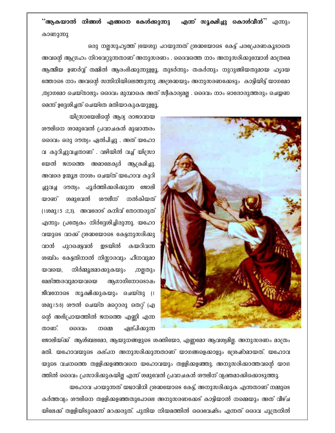#### ്ആകയാൽ നിങ്ങൾ എങ്ങനെ കേൾക്കുന്നു എ**ന്ന് സൂക്ഷിച്ചു കൊൾവീൻ**'' എന്നും കാണുന്നു

ഒരു നല്ലസുഹൃത്ത് (യേശു) പറയുന്നത് ശ്രദ്ധയോടെ കേട്ട് പരപ്രേരണകൂടാതെ അവന്റെ ആഗ്രഹം നിറവേറ്റുന്നതാണ് അനുസരണം . ദൈവത്തെ നാം അനുസരിക്കുമ്പോൾ മാത്രമേ ആത്മീയ ഉണർവ്വ് തമ്മിൽ ആരംഭിക്കുന്നുളളൂ. തുടർന്നും തകർന്നും നുറുങ്ങിയതുമായ ഹൃദയ ത്തോടെ നാം അവന്റെ സന്നിധിയിലെത്തുന്നു .അശ്രദ്ധയും അനുസരണക്കേടും കാട്ടിയിട്ട് യാഗമോ ,ത്യാഗമോ ചെയ്താലും ദൈവം മുമ്പാകെ അത് സ്വീകാര്യമല്ല . ദൈവം നാം ഓരോരുത്തരും ചെയ്യണ മെന്ന് ഉദ്ദേശിച്ചത് ചെയ്തേ മതിയാകുകയുള്ളൂ.



യിന്ത്രായേലിന്റെ ആദ്യ രാജാവായ ശൗലിനെ ശാമുവേൽ പ്രവാചകൻ മുഖാന്തരം ദൈവം ഒരു ദൗത്യം ഏൽപിച്ചു . അത് യഹോ വ കുറിച്ചുവച്ചതാണ് . വഴിയിൽ വച്ച് യിസ്രാ യേൽ ജനത്തെ അമാലേക്യർ ആക്രമിച്ചു. അവരെ ഉന്മൂല നാശം ചെയ്ത് യഹോവ കുറി ദൗത്യം പൂർത്തിക്കരിക്കുന്ന ജോലി ച്ചുവച്ച യാണ് ശമുവേൽ ശൗലീന് നൽകിയത് (1000315:2,3). അവരോട് കനിവ് തോന്നരുത് എന്നും പ്രത്യേകം നിർദ്ദേശിച്ചിരുന്നു. യഹോ വയുടെ വാക്ക് ശ്രദ്ധയോടെ കേട്ടനുസരിക്കു ഇടയിൽ വാൻ പുറഷെട്ടവൻ കയറിവന്ന ശബ്ദം കേട്ടതിനാൽ നിസ്സാരവും ഹീനവുമാ യവയെ, നിർമ്മൂലമാക്കുകയും ,നല്ലതും മേല്ത്തരവുമായവയെ ആഗാഗിനോടൊഷം ജീവനോടെ സൂക്ഷിക്കുകയും ചെയ്തു (1 ശമു15:8) ശൗൽ ചെയ്ത മറ്റൊരു തെറ്റ് (എ ന്റെ അഭിപ്രായത്തിൽ ജനത്തെ എണ്ണി എന്ന താണ്. ഏല്പിക്കുന്ന റൈവം നമ്മെ

ജോലിയ്ക്ക് ആൾബലമോ, ആയുധങ്ങളുടെ ശക്തിയോ, എണ്ണമോ ആവശ്യമില്ല. അനുസരണം മാത്രം മതി. യഹോവയുടെ കല്പന അനുസരിക്കുന്നതാണ് യാഗങ്ങളെക്കാളും ശ്രേഷ്ഠമായത്. യഹോവ യുടെ വചനത്തെ തള്ളിക്കളഞ്ഞവനെ യഹോവയും തളളിക്കളഞ്ഞു. അനുസരിക്കാത്തവന്റെ യാഗ ത്തിൽ ദൈവം പ്രസാദിക്കുകയില്ല എന്ന് ശമുവേൽ പ്രവാചകൻ ശൗലിന് വ്യക്തമാക്കിക്കൊടുത്തു. യഹോവ പറയുന്നത് യഥാവിധി ശ്രദ്ധയോടെ കേട്ട്, അനുസരിക്കുക എന്നതാണ് നമ്മുടെ കർത്തവ്യം ശൗലിനെ തളളിക്കളഞ്ഞതുപോലെ അനുസരണക്കേട് കാട്ടിയാൽ നമ്മെയും അത് വീഴ്ച യിലേക്ക് തളളിയിടുമെന്ന് മറക്കരുത്. പുതിയ നിയമത്തിൽ ദൈവേഷ്ടം എന്നത് ദൈവ പുത്രനിൽ